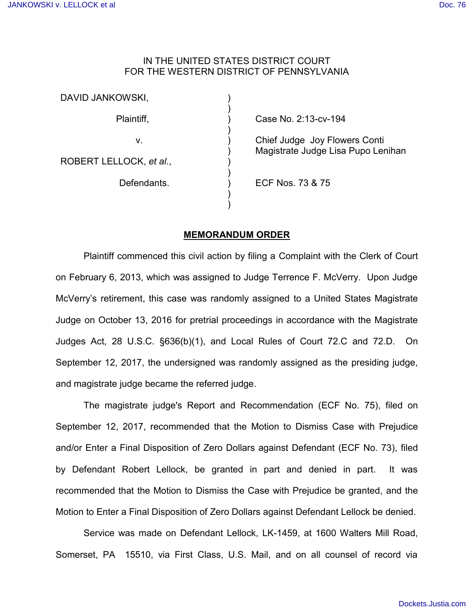## IN THE UNITED STATES DISTRICT COURT FOR THE WESTERN DISTRICT OF PENNSYLVANIA

| DAVID JANKOWSKI,        |                                                                     |
|-------------------------|---------------------------------------------------------------------|
| Plaintiff,              | Case No. 2:13-cv-194                                                |
| v.                      | Chief Judge Joy Flowers Conti<br>Magistrate Judge Lisa Pupo Lenihan |
| ROBERT LELLOCK, et al., |                                                                     |
| Defendants.             | ECF Nos. 73 & 75                                                    |
|                         |                                                                     |

## **MEMORANDUM ORDER**

Plaintiff commenced this civil action by filing a Complaint with the Clerk of Court on February 6, 2013, which was assigned to Judge Terrence F. McVerry. Upon Judge McVerry's retirement, this case was randomly assigned to a United States Magistrate Judge on October 13, 2016 for pretrial proceedings in accordance with the Magistrate Judges Act, 28 U.S.C. §636(b)(1), and Local Rules of Court 72.C and 72.D. On September 12, 2017, the undersigned was randomly assigned as the presiding judge, and magistrate judge became the referred judge.

The magistrate judge's Report and Recommendation (ECF No. 75), filed on September 12, 2017, recommended that the Motion to Dismiss Case with Prejudice and/or Enter a Final Disposition of Zero Dollars against Defendant (ECF No. 73), filed by Defendant Robert Lellock, be granted in part and denied in part. It was recommended that the Motion to Dismiss the Case with Prejudice be granted, and the Motion to Enter a Final Disposition of Zero Dollars against Defendant Lellock be denied.

Service was made on Defendant Lellock, LK-1459, at 1600 Walters Mill Road, Somerset, PA 15510, via First Class, U.S. Mail, and on all counsel of record via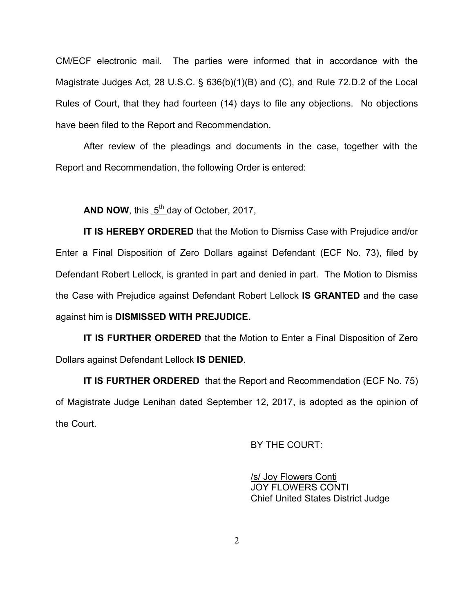CM/ECF electronic mail. The parties were informed that in accordance with the Magistrate Judges Act, 28 U.S.C. § 636(b)(1)(B) and (C), and Rule 72.D.2 of the Local Rules of Court, that they had fourteen (14) days to file any objections. No objections have been filed to the Report and Recommendation.

After review of the pleadings and documents in the case, together with the Report and Recommendation, the following Order is entered:

AND NOW, this  $5<sup>th</sup>$  day of October, 2017,

**IT IS HEREBY ORDERED** that the Motion to Dismiss Case with Prejudice and/or Enter a Final Disposition of Zero Dollars against Defendant (ECF No. 73), filed by Defendant Robert Lellock, is granted in part and denied in part. The Motion to Dismiss the Case with Prejudice against Defendant Robert Lellock **IS GRANTED** and the case against him is **DISMISSED WITH PREJUDICE.** 

**IT IS FURTHER ORDERED** that the Motion to Enter a Final Disposition of Zero Dollars against Defendant Lellock **IS DENIED**.

**IT IS FURTHER ORDERED** that the Report and Recommendation (ECF No. 75) of Magistrate Judge Lenihan dated September 12, 2017, is adopted as the opinion of the Court.

BY THE COURT:

/s/ Joy Flowers Conti JOY FLOWERS CONTI Chief United States District Judge